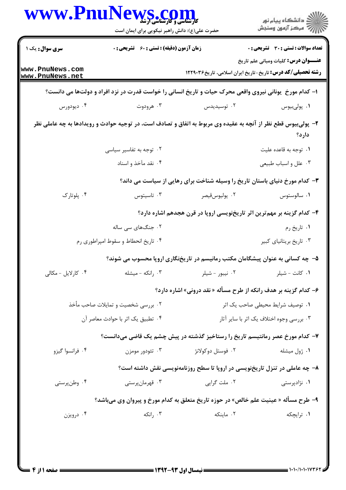|                                                                                                               |                                                    | حضرت علی(ع): دانش راهبر نیکویی برای ایمان است                                                            | ≦ دانشڪاه پيام نور<br>ر∕ = مرڪز آزمون وسنڊش                                                                      |  |
|---------------------------------------------------------------------------------------------------------------|----------------------------------------------------|----------------------------------------------------------------------------------------------------------|------------------------------------------------------------------------------------------------------------------|--|
| <b>سری سوال :</b> یک ۱                                                                                        | <b>زمان آزمون (دقیقه) : تستی : 60 ٪ تشریحی : 0</b> |                                                                                                          | تعداد سوالات : تستى : 30 ٪ تشريحي : 0                                                                            |  |
| www.PnuNews.com<br>www.PnuNews.net                                                                            |                                                    |                                                                                                          | <b>عنـــوان درس:</b> کلیات ومبانی علم تاریخ<br><b>رشته تحصیلی/کد درس:</b> تاریخ-تاریخ ایران اسلامی، تاریخ۱۲۲۹۰۳۶ |  |
|                                                                                                               |                                                    | ۱– کدام مورخ ِ یونانی نیروی واقعی محرک حیات و تاریخ انسانی را خواست قدرت در نزد افراد و دولتها می دانست؟ |                                                                                                                  |  |
| ۰۴ دیودورس                                                                                                    | ۰۳ هرودوت                                          | ۰۲ توسیدیدس                                                                                              | ۰۱ پولىبيوس                                                                                                      |  |
| ۲- پولیبیوس قطع نظر از آنچه به عقیده وی مربوط به اتفاق و تصادف است، در توجیه حوادث و رویدادها به چه عاملی نظر |                                                    |                                                                                                          | دارد؟                                                                                                            |  |
|                                                                                                               | ۰۲ توجه به تفاسیر سیاسی                            |                                                                                                          | ۰۱ توجه به قاعده علیت                                                                                            |  |
|                                                                                                               | ۰۴ نقد مآخذ و اسناد                                |                                                                                                          | ۰۳ علل و اسباب طبیعی                                                                                             |  |
|                                                                                                               |                                                    | ۳- کدام مورخ دنیای باستان تاریخ را وسیله شناخت برای رهایی از سیاست می داند؟                              |                                                                                                                  |  |
| ۰۴ پلوتارک                                                                                                    | ۰۳ تاسیتوس                                         | ۰۲ يوليوسقيصر                                                                                            | ۰۱ سالوستوس                                                                                                      |  |
|                                                                                                               |                                                    | ۴- کدام گزینه بر مهم ترین اثر تاریخنویسی اروپا در قرن هجدهم اشاره دارد؟                                  |                                                                                                                  |  |
|                                                                                                               | ۰۲ جنگهای سی ساله                                  |                                                                                                          | ۰۱ تاریخ رم                                                                                                      |  |
|                                                                                                               | ۰۴ تاریخ انحطاط و سقوط امپراطوری رم                |                                                                                                          | ۰۳ تاریخ بریتانیای کبیر                                                                                          |  |
|                                                                                                               |                                                    | ۵– چه کسانی به عنوان پیشگامان مکتب رمانیسم در تاریخنگاری اروپا محسوب می شوند؟                            |                                                                                                                  |  |
| ۰۴ کارلایل - مکالی                                                                                            | ۰۳ رانکه - میشله                                   | ۰۲ نیبور - شیلر                                                                                          | ۰۱ كانت - شيلر                                                                                                   |  |
|                                                                                                               |                                                    | ۶– کدام گزینه بر هدف رانکه از طرح مسأله « نقد درونی» اشاره دارد؟                                         |                                                                                                                  |  |
|                                                                                                               | ۰۲ بررسی شخصیت و تمایلات صاحب مأخذ                 | ٠١ توصيف شرايط محيطى صاحب يک اثر                                                                         |                                                                                                                  |  |
|                                                                                                               | ۰۴ تطبیق یک اثر با حوادث معاصر آن                  |                                                                                                          | ۰۳ بررسی وجوه اختلاف یک اثر با سایر آثار                                                                         |  |
|                                                                                                               |                                                    | ۷– کدام مورخ عصر رمانتیسم تاریخ را رستاخیز گذشته در پیش چشم یک قاضی میدانست؟                             |                                                                                                                  |  |
| ۰۴ فرانسوا گيزو                                                                                               | ۰۳ تئودور مومزن                                    | ۰۲ فوستل دوکولانژ                                                                                        | ۰۱ ژول میشله                                                                                                     |  |
|                                                                                                               |                                                    | ۸– چه عاملی در تنزل تاریخنویسی در اروپا تا سطح روزنامهنویسی نقش داشته است؟                               |                                                                                                                  |  |
| ۰۴ وطنپرستی                                                                                                   | ۰۳ قهرمانپرستي                                     | ۰۲ ملت گرايي                                                                                             | ۰۱ نژادپرستی                                                                                                     |  |
|                                                                                                               |                                                    | ۹- طرح مسأله « عينيت علم خالص» در حوزه تاريخ متعلق به كدام مورخ و پيروان وي ميباشد؟                      |                                                                                                                  |  |
| ۰۴ درویزن                                                                                                     | ۰۳ رانکه                                           | ٠٢ ماينكه                                                                                                | ۰۱ ترایچکه                                                                                                       |  |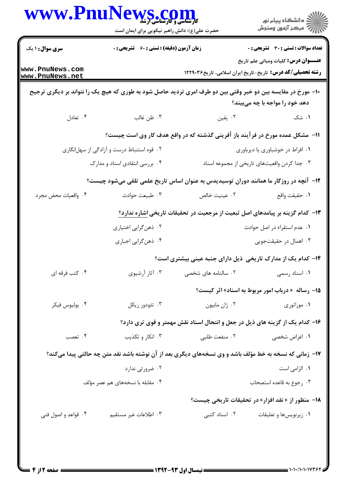|                                    | حضرت علی(ع): دانش راهبر نیکویی برای ایمان است      |                                                                                                              | ڪ دانشڪاه پيام نور<br>پ <sup>ر</sup> مرڪز آزمون وسنڊش                                                            |
|------------------------------------|----------------------------------------------------|--------------------------------------------------------------------------------------------------------------|------------------------------------------------------------------------------------------------------------------|
| <b>سری سوال : ۱ یک</b>             | <b>زمان آزمون (دقیقه) : تستی : 60 ٪ تشریحی : 0</b> |                                                                                                              | <b>تعداد سوالات : تستي : 30 ٪ تشريحي : 0</b>                                                                     |
| www.PnuNews.com<br>www.PnuNews.net |                                                    |                                                                                                              | <b>عنـــوان درس:</b> کلیات ومبانی علم تاریخ<br><b>رشته تحصیلی/کد درس:</b> تاریخ-تاریخ ایران اسلامی، تاریخ۱۲۲۹۰۳۶ |
|                                    |                                                    | ∙ا− مورخ در مقایسه بین دو خبر وقتی بین دو طرف امری تردید حاصل شود به طوری که هیچ یک را نتواند بر دیگری ترجیح | دهد خود را مواجه با چه میبیند؟                                                                                   |
| ۰۴ تعادل                           | ۰۳ ظن غالب                                         | ۰۲ يقين                                                                                                      | ۰۱ شک                                                                                                            |
|                                    |                                                    | 11-  مشکل عمده مورخ در فرآیند باز آفرینی گذشته که در واقع هدف کار وی است چیست؟                               |                                                                                                                  |
|                                    | ۰۲ قوه استنباط درست و آزادگی از سهلانگاری          |                                                                                                              | ٠١ افراط در خوشباوري يا ديرباوري                                                                                 |
|                                    | ۰۴ بررسی انتقادی اسناد و مدارک                     |                                                                                                              | ۰۳ جدا کردن واقعیتهای تاریخی از مجموعه اسناد                                                                     |
|                                    |                                                    | ۱۲– آنچه در روزگار ما همانند دوران توسیدیدس به عنوان اساس تاریخ علمی تلقی میشود چیست؟                        |                                                                                                                  |
| ۰۴ واقعیات محض مجرد                | ۰۳ طبیعت حوادث                                     | ٠٢ عينيت خالص                                                                                                | ٠١ حقيقت واقع                                                                                                    |
|                                    |                                                    | ۱۳- کدام گزینه بر پیامدهای اصل تبعیت از مرجعیت در تحقیقات تاریخی اشاره ندارد؟                                |                                                                                                                  |
|                                    | ۰۲ ذهنگرایی اختیاری                                |                                                                                                              | ٠١ عدم استقراء در اصل حوادث                                                                                      |
|                                    | ۰۴ ذهن گرايي اجباري                                |                                                                                                              | ۰۳ اهمال در حقیقتجویی                                                                                            |
|                                    |                                                    | ۱۴- کدام یک از مدارک تاریخی ذیل دارای جنبه عینی بیشتری است؟                                                  |                                                                                                                  |
| ۰۴ کتب فرقه ای                     | ۰۳ آثار آرشیوی                                     | ۰۲ سالنامه های شخصی                                                                                          | ۰۱ اسناد رسمی                                                                                                    |
|                                    |                                                    |                                                                                                              | <b>۱۵- رساله « درباب امور مربوط به اسناد» اثر کیست؟</b>                                                          |
| ۰۴ يوليوس فيكر                     | ۰۳ تئودور زیکل                                     | ۰۲ ژان مابيون                                                                                                | ۰۱ موراتوری                                                                                                      |
|                                    |                                                    | ۱۶– کدام یک از گزینه های ذیل در جعل و انتحال اسناد نقش مهمتر و قوی تری دارد؟                                 |                                                                                                                  |
| ۰۴ تعصب                            | ۰۳ انکار و تکذیب                                   | ۰۲ منفعت طلبي                                                                                                | ۰۱ اغراض شخصی                                                                                                    |
|                                    |                                                    | ۱۷- زمانی که نسخه به خط مؤلف باشد و وی نسخههای دیگری بعد از آن نوشته باشد نقد متن چه حالتی پیدا میکند؟       |                                                                                                                  |
|                                    | ۰۲ ضرورتی ندارد                                    |                                                                                                              | ۰۱ الزامی است                                                                                                    |
|                                    | ۰۴ مقابله با نسخههای هم عصر مؤلف                   |                                                                                                              | ۰۳ رجوع به قاعده استصحاب                                                                                         |
|                                    |                                                    |                                                                                                              | ۱۸- منظور از « نقد افزار» در تحقیقات تاریخی چیست؟                                                                |
| ۰۴ قواعد و اصول فنی                | ۰۳ اطلاعات غیر مستقیم                              | ٠٢ اسناد كتبى                                                                                                | ۰۱ زیرنویسها و تعلیقات                                                                                           |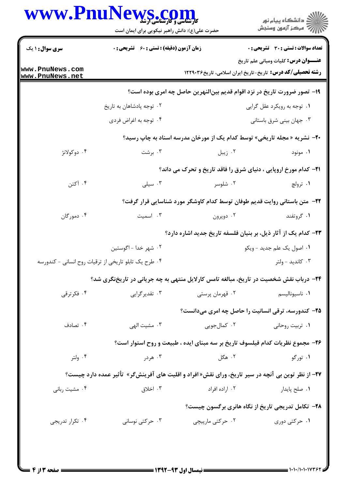| www.PnuNews.com                                       | حضرت علی(ع): دانش راهبر نیکویی برای ایمان است                                                              |                                                                                  |                                              |  |
|-------------------------------------------------------|------------------------------------------------------------------------------------------------------------|----------------------------------------------------------------------------------|----------------------------------------------|--|
| <b>سری سوال : ۱ یک</b>                                | <b>زمان آزمون (دقیقه) : تستی : 60 ٪ تشریحی : 0</b>                                                         |                                                                                  | <b>تعداد سوالات : تستي : 30 ٪ تشريحي : 0</b> |  |
| www.PnuNews.com<br>www.PnuNews.net                    |                                                                                                            | <b>رشته تحصیلی/کد درس:</b> تاریخ-تاریخ ایران اسلامی، تاریخ۱۲۲۹۰۳۶                | <b>عنـــوان درس:</b> کلیات ومبانی علم تاریخ  |  |
|                                                       |                                                                                                            | ۱۹- تصور ضرورت تاریخ در نزد اقوام قدیم بین لنهرین حاصل چه امری بوده است؟         |                                              |  |
|                                                       | ۰۲ توجه پادشاهان به تاریخ                                                                                  |                                                                                  | ۰۱ توجه به رویکرد عقل گرایی                  |  |
|                                                       | ۰۴ توجه به اغراض فردي                                                                                      | ۰۳ جهان بینی شرق باستانی                                                         |                                              |  |
|                                                       |                                                                                                            | <b>۲۰</b> - نشریه « مجله تاریخی» توسط کدام یک از مورخان مدرسه اسناد به چاپ رسید؟ |                                              |  |
| ۰۴ دوکولانژ                                           | ۰۳ برشت                                                                                                    | ۰۲ زیبل                                                                          | ۰۱ مونود                                     |  |
|                                                       |                                                                                                            | <b>31- کدام مورخ اروپایی ، دنیای شرق را فاقد تاریخ و تحرک می داند؟</b>           |                                              |  |
| ۰۴ آکتن                                               | ۰۳ سیلی                                                                                                    | ۰۲ شلوسر                                                                         | ۰۱ ترولچ                                     |  |
|                                                       |                                                                                                            | ۲۲– متن باستانی روایت قدیم طوفان توسط کدام کاوشگر مورد شناسایی قرار گرفت؟        |                                              |  |
| ۰۴ دمورگان                                            | ۰۳ اسمیت                                                                                                   | ۰۲ دوپرون                                                                        | ۰۱ گروتفند                                   |  |
|                                                       |                                                                                                            | <b>۲۳</b> - کدام یک از آثار ذیل، بر بنیان فلسفه تاریخ جدید اشاره دارد؟           |                                              |  |
|                                                       | ۰۲ شهر خدا - اگوستين                                                                                       |                                                                                  | ۰۱ اصول یک علم جدید - ویکو                   |  |
| ۰۴ طرح یک تابلو تاریخی از ترقیات روح انسانی - کندورسه |                                                                                                            |                                                                                  | ۰۳ کاندید - ولتر                             |  |
|                                                       | ۲۴- درباب نقش شخصیت در تاریخ، مبالغه تامس کارلایل منتهی به چه جریانی در تاریخنگری شد؟                      |                                                                                  |                                              |  |
| ۰۴ فکرترقی                                            | ۰۳ تقدیر گرایی                                                                                             | ۲. قهرمان پرستی                                                                  | ۰۱ ناسيوناليسم                               |  |
|                                                       |                                                                                                            | ۲۵- کندورسه، ترقی انسانیت را حاصل چه امری میدانست؟                               |                                              |  |
| ۰۴ تصادف                                              | ۰۳ مشیت الهی                                                                                               | ۰۲ کمالجویی                                                                      | ۰۱ تربیت روحانی                              |  |
|                                                       |                                                                                                            | ۲۶- مجموع نظریات کدام فیلسوف تاریخ بر سه مبنای ایده ، طبیعت و روح استوار است؟    |                                              |  |
| ۰۴ ولتر                                               | ۰۳ هردر                                                                                                    | ۰۲ هگل                                                                           | ۰۱ تورگو                                     |  |
|                                                       | <b>۲۷</b> – از نظر توین بی آنچه در سیر تاریخ، ورای نقش« افراد و اقلیت های آفرینشگر»  تأثیر عمده دارد چیست؟ |                                                                                  |                                              |  |
| ۰۴ مشیت ربانی                                         | ۰۳ اخلاق                                                                                                   | ۰۲ اراده افراد                                                                   | ٠١ صلح پايدار                                |  |
|                                                       |                                                                                                            | ۲۸- تکامل تدریجی تاریخ از نگاه هانری برگسون چیست؟                                |                                              |  |
| ۰۴ تکرار تدریجی                                       | ۰۳ حرکتی نوسانی                                                                                            | ۰۲ حرکتی مارپیچی                                                                 | ۰۱ حرکتی دوری                                |  |